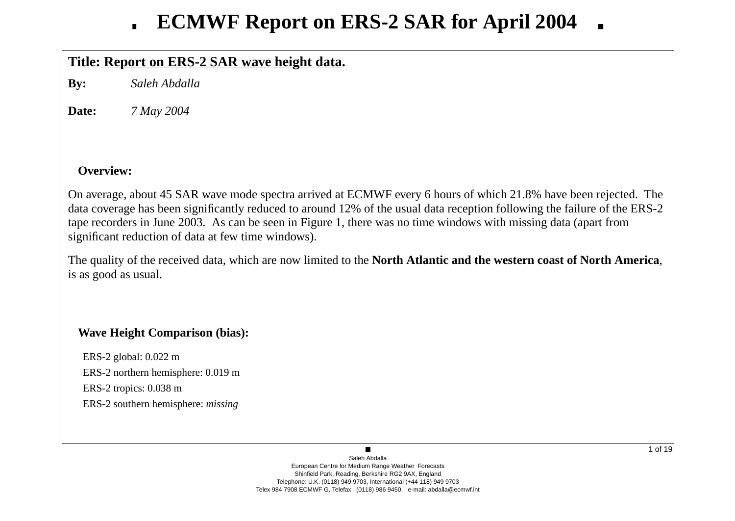## **Title: Report on ERS-2 SAR wa ve height data.**

**By:** *Saleh Abdalla*

**Date:***7 May 2004*

## **Overview:**

On average, about 45 SAR wave mode spectra arrived at ECMWF every 6 hours of which 21.8% have been rejected. The data co verage has been significantly reduced to around 12% of the usual data reception following the failure of the ERS-2 tape recorders in June 2003. As can be seen in Figure 1, there was no time windows with missing data (apart from significant reduction of data at few time windows).

The quality of the recei ved data, which are now limited to the **North Atlantic and the western coast of North America**, is as good as usual.

## **Wa ve Height Comparison (bias):**

ERS-2 global: 0.022 m ERS-2 northern hemisphere: 0.019 m ERS-2 tropics: 0.038 m ERS-2 southern hemisphere: *missing*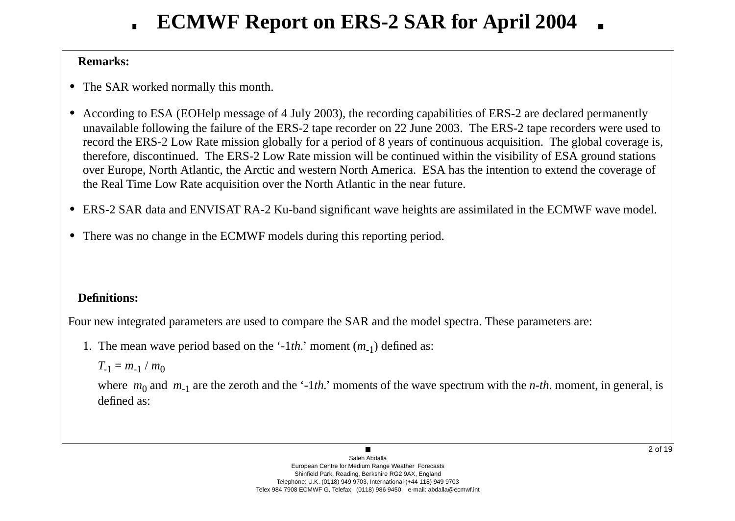# **ECMWF Report on ERS-2 SAR for April 2004**

## **Remarks:**

- **•** The SAR worked normally this month.
- **•** According to ESA (EOHelp message of 4 July 2003), the recording capabilities of ERS-2 are declared permanently una vailable following the failure of the ERS-2 tape recorder on 22 June 2003. The ERS-2 tape recorders were used to record the ERS-2 Lo w Rate mission globally for a period of 8 years of continuous acquisition. The global co verage is, therefore, discontinued. The ERS-2 Low Rate mission will be continued within the visibility of ESA ground stations o ver Europe, North Atlantic, the Arctic and western North America. ESA has the intention to extend the co verage of the Real Time Low Rate acquisition o ver the North Atlantic in the near future.
- ERS-2 SAR data and ENVISAT RA-2 Ku-band significant wave heights are assimilated in the ECMWF wave model.
- **•** There was no change in the ECMWF models during this reporting period.

## **Definitions:**

Four new integrated parameters are used to compare the SAR and the model spectra. These parameters are:

1. The mean w a ve period based on the '-1*th.*' moment ( *<sup>m</sup>*-1) defined as:

$$
T_{-1}=m_{-1}/m_0
$$

where  $m_0$  and  $m_{-1}$  are the zeroth and the '-1*th*.' moments of the wave spectrum with the *n-th*. moment, in general, is defined as: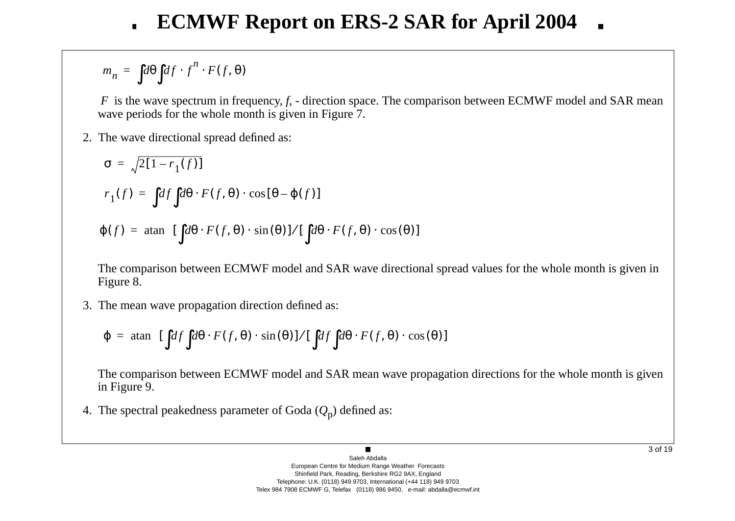$$
m_n = \int d\theta \int df \cdot f^n \cdot F(f, \theta)
$$

*F* is the wave spectrum in frequency, *f*, - direction space. The comparison between ECMWF model and SAR mean wave periods for the whole month is given in Figure 7.

2. The w a ve directional spread defined as:

$$
\sigma = \sqrt{2[1 - r_1(f)]}
$$
  
\n
$$
r_1(f) = \int df \int d\theta \cdot F(f, \theta) \cdot \cos[\theta - \varphi(f)]
$$
  
\n
$$
\varphi(f) = \tan \left\{ [\int d\theta \cdot F(f, \theta) \cdot \sin(\theta)] / [\int d\theta \cdot F(f, \theta) \cdot \cos(\theta)] \right\}
$$

The comparison between ECMWF model and SAR wave directional spread values for the whole month is given in Figure 8.

3. The mean w a ve propagation direction defined as:

$$
\varphi = \text{atan}\Bigg\{ \left[ \int df \int d\theta \cdot F(f, \theta) \cdot \sin(\theta) \right] / \left[ \int df \int d\theta \cdot F(f, \theta) \cdot \cos(\theta) \right] \Bigg\}
$$

The comparison between ECMWF model and SAR mean wave propagation directions for the whole month is given in Figure 9.

4. The spectral peakedness parameter of Goda ( *Q* <sup>p</sup>) defined as: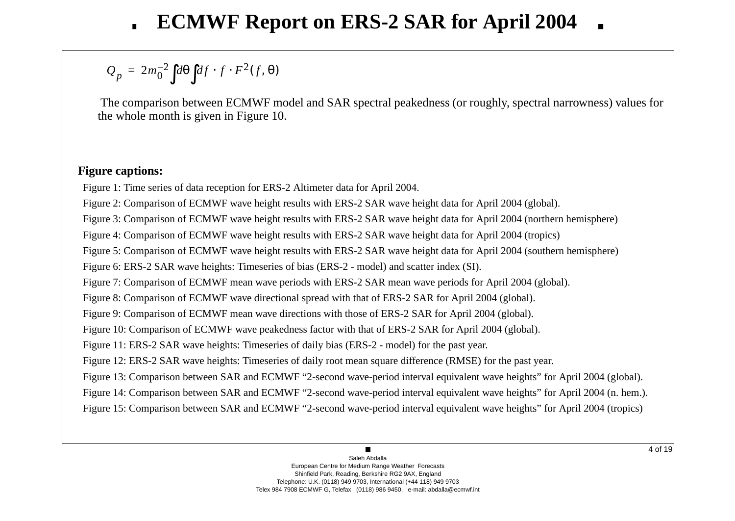#### $Q_p = 2m_0^ \int_0^{-2} d\theta \, df \cdot f \cdot F^2$  $\int d\theta \int df \cdot f \cdot F^2(f, \theta)$ =

The comparison between ECMWF model and SAR spectral peakedness (or roughly, spectral narrowness) values for the whole month is gi ven in Figure 10.

## **Figure captions:**

Figure 1: Time series of data reception for ERS-2 Altimeter data for April 2004.

Figure 2: Comparison of ECMWF wave height results with ERS-2 SAR wave height data for April 2004 (global).

Figure 3: Comparison of ECMWF wave height results with ERS-2 SAR wave height data for April 2004 (northern hemisphere)

Figure 4: Comparison of ECMWF wave height results with ERS-2 SAR wave height data for April 2004 (tropics)

Figure 5: Comparison of ECMWF wave height results with ERS-2 SAR wave height data for April 2004 (southern hemisphere)

Figure 6: ERS-2 SAR wave heights: Timeseries of bias (ERS-2 - model) and scatter index (SI).

Figure 7: Comparison of ECMWF mean wave periods with ERS-2 SAR mean wave periods for April 2004 (global).

Figure 8: Comparison of ECMWF wave directional spread with that of ERS-2 SAR for April 2004 (global).

Figure 9: Comparison of ECMWF mean wave directions with those of ERS-2 SAR for April 2004 (global).

Figure 10: Comparison of ECMWF wave peakedness factor with that of ERS-2 SAR for April 2004 (global).

Figure 11: ERS-2 SAR wave heights: Timeseries of daily bias (ERS-2 - model) for the past year.

Figure 12: ERS-2 SAR wave heights: Timeseries of daily root mean square difference (RMSE) for the past year.

Figure 13: Comparison between SAR and ECMWF "2-second wave-period interval equivalent wave heights" for April 2004 (global).

Figure 14: Comparison between SAR and ECMWF "2-second wave-period interval equivalent wave heights" for April 2004 (n. hem.).

Figure 15: Comparison between SAR and ECMWF "2-second wave-period interval equivalent wave heights" for April 2004 (tropics)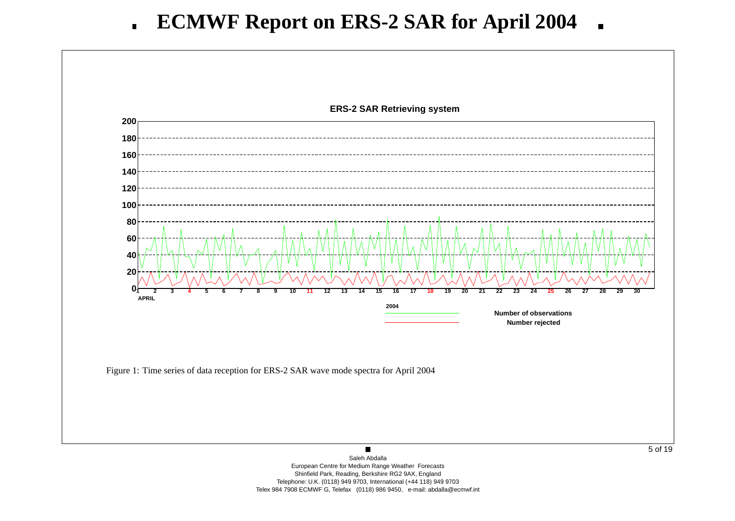

European Centre for Medium Range Weather Forecasts Shinfield Park, Reading, Berkshire RG2 9AX, England Telephone: U.K. (0118) 949 9703, International (+44 118) 949 9703 Telex 984 7908 ECMWF G, Telefax (0118) 986 9450, e-mail: abdalla@ecmwf.int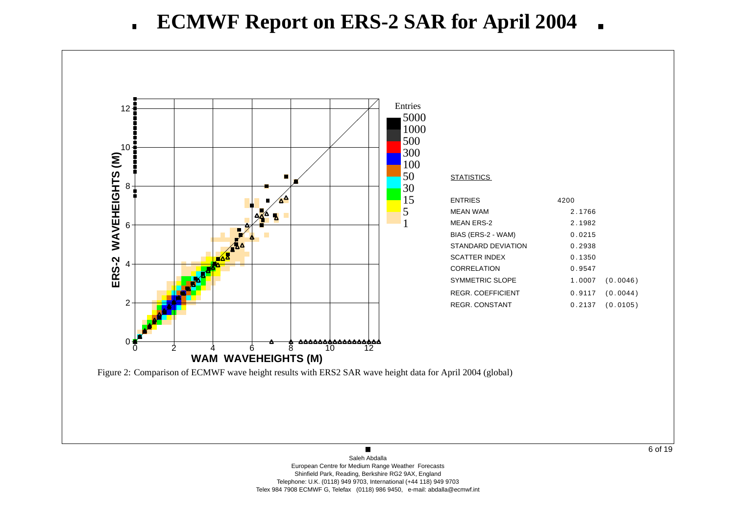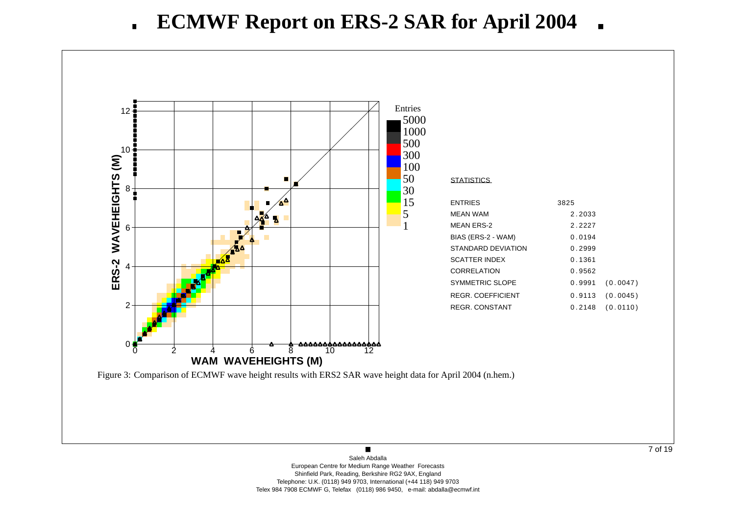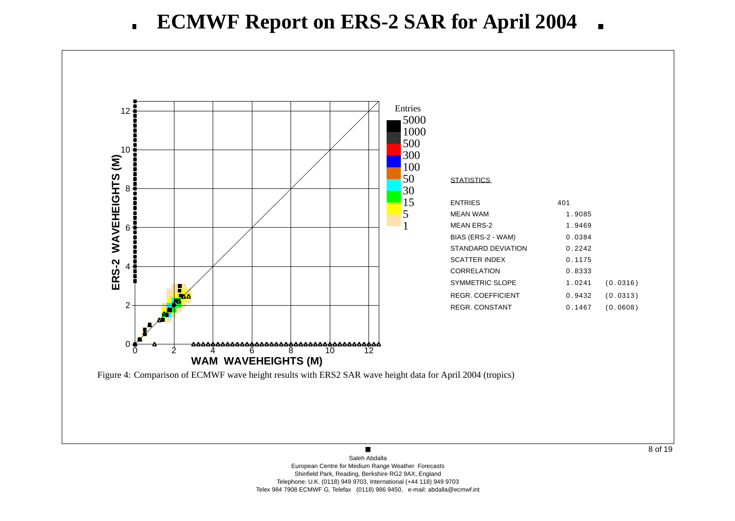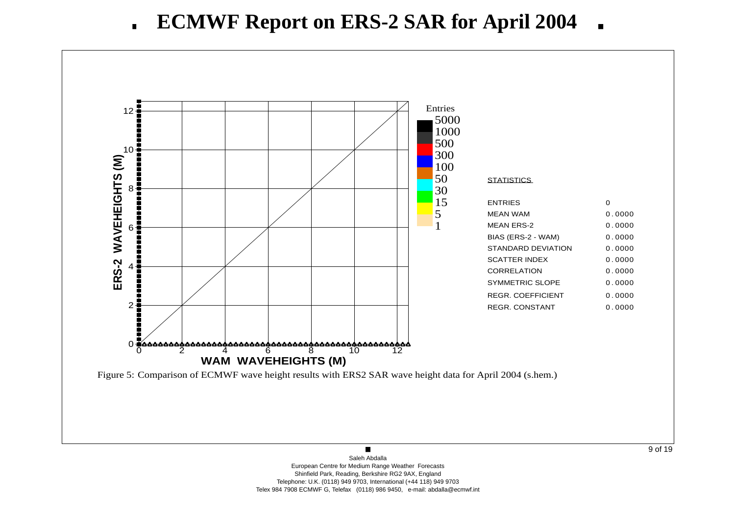

Saleh AbdallaEuropean Centre for Medium Range Weather Forecasts Shinfield Park, Reading, Berkshire RG2 9AX, England Telephone: U.K. (0118) 949 9703, International (+44 118) 949 9703 Telex 984 7908 ECMWF G, Telefax (0118) 986 9450, e-mail: abdalla@ecmwf.int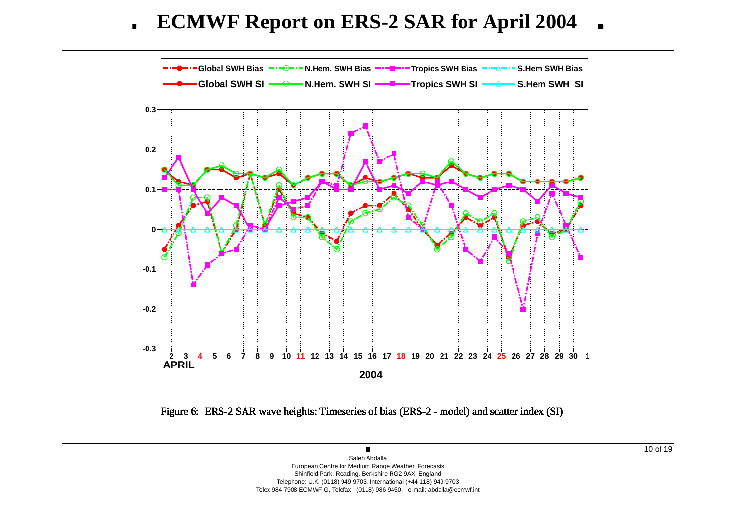**ECMWF Report on ERS-2 SAR for April 2004**  $\blacksquare$ 



Shinfield Park, Reading, Berkshire RG2 9AX, England Telephone: U.K. (0118) 949 9703, International (+44 118) 949 9703 Telex 984 7908 ECMWF G, Telefax (0118) 986 9450, e-mail: abdalla@ecmwf.int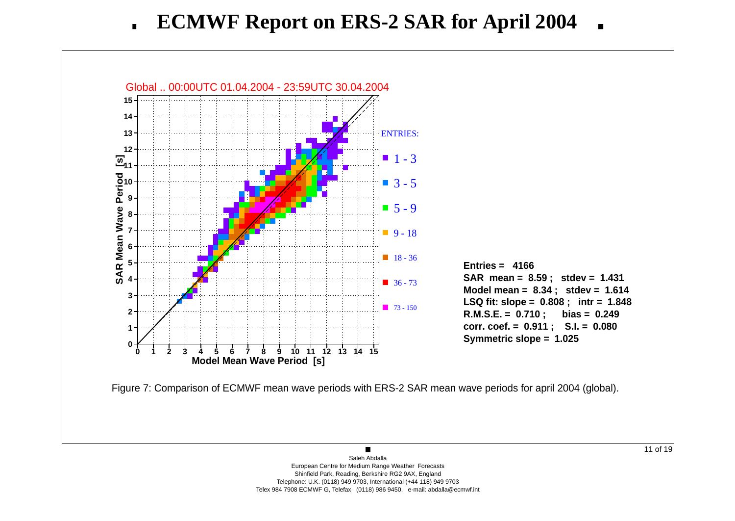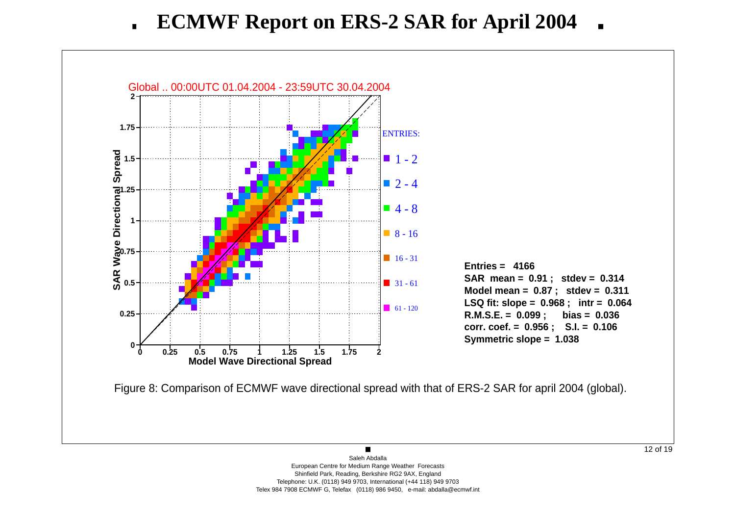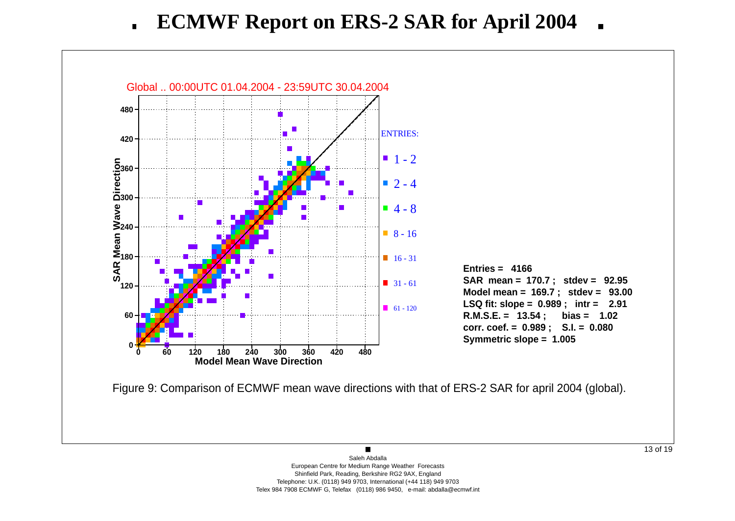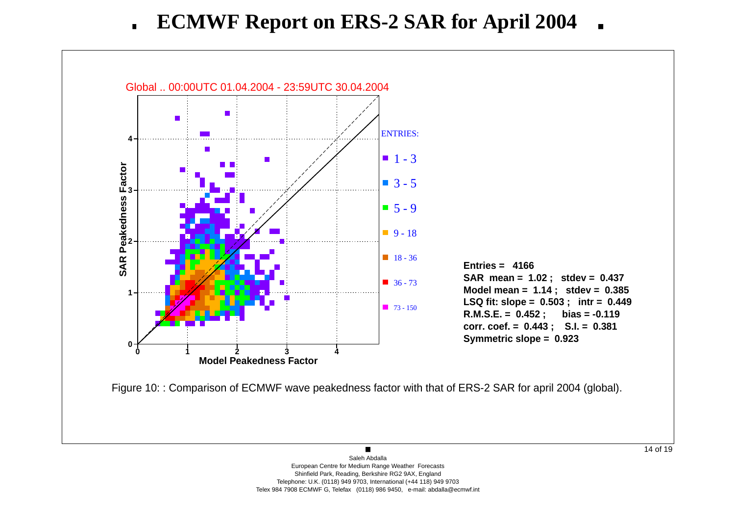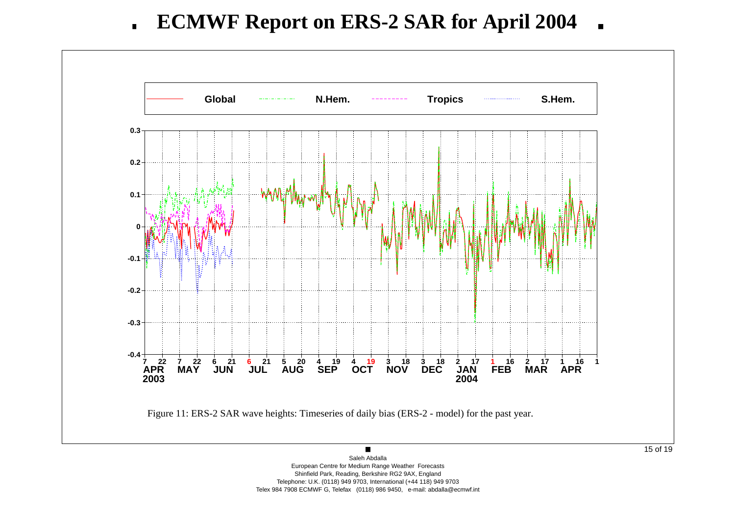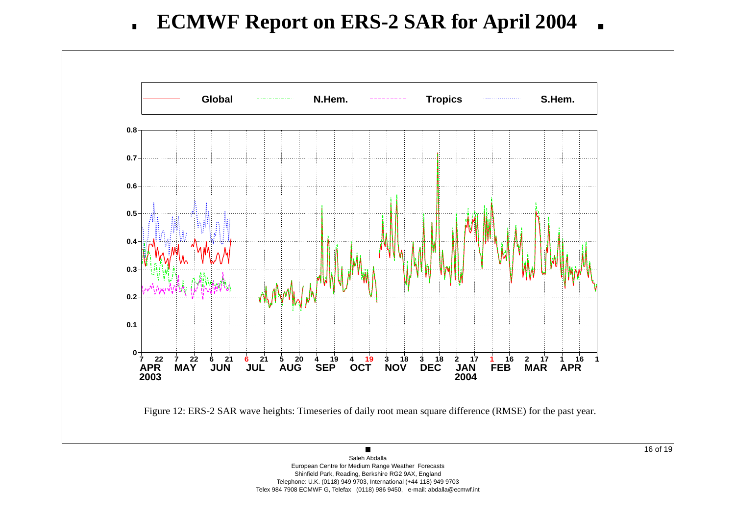

Saleh Abdalla European Centre for Medium Range Weather Forecasts Shinfield Park, Reading, Berkshire RG2 9AX, England Telephone: U.K. (0118) 949 9703, International (+44 118) 949 9703 Telex 984 7908 ECMWF G, Telefax (0118) 986 9450, e-mail: abdalla@ecmwf.int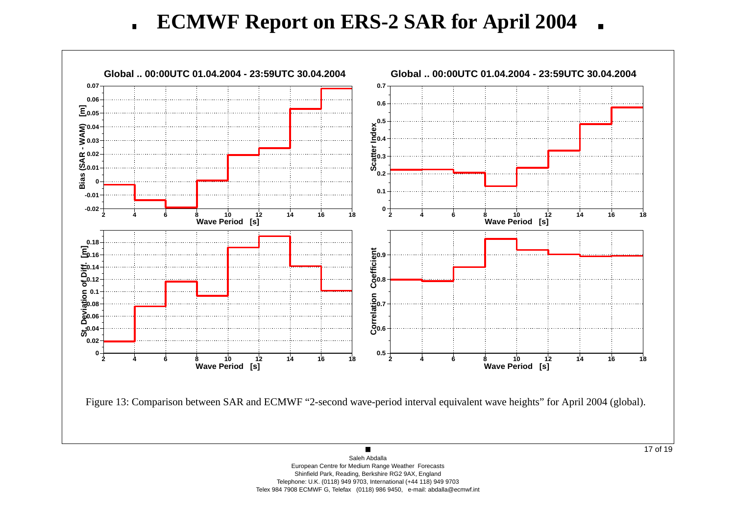**ECMWF Report on ERS-2 SAR for April 2004**  $\blacksquare$ 

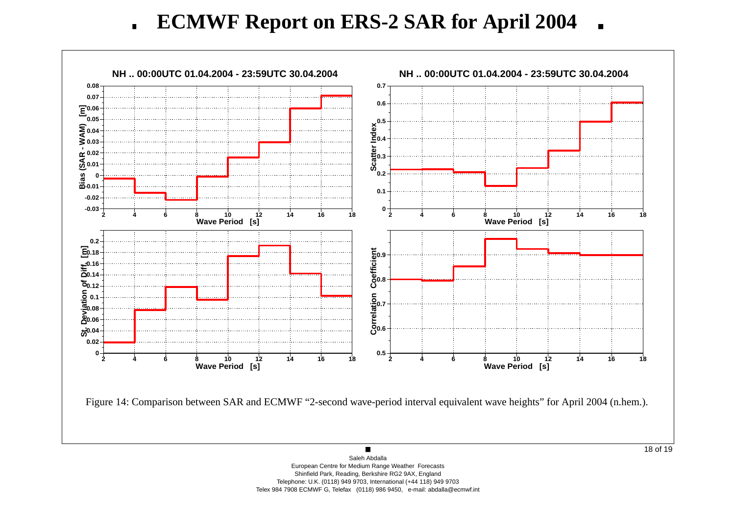**ECMWF Report on ERS-2 SAR for April 2004**  $\blacksquare$